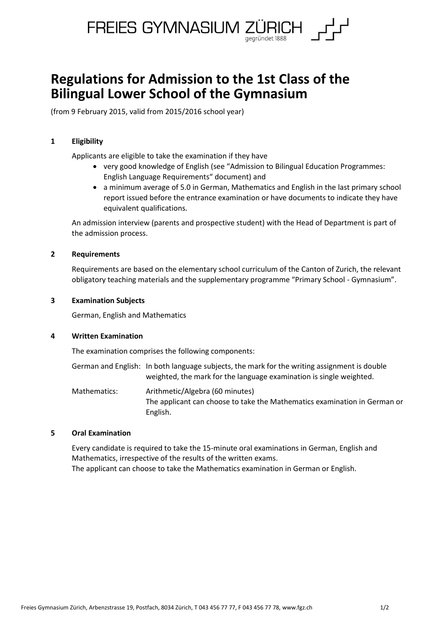

# **Regulations for Admission to the 1st Class of the Bilingual Lower School of the Gymnasium**

(from 9 February 2015, valid from 2015/2016 school year)

# **1 Eligibility**

Applicants are eligible to take the examination if they have

- very good knowledge of English (see "Admission to Bilingual Education Programmes: English Language Requirements" document) and
- a minimum average of 5.0 in German, Mathematics and English in the last primary school report issued before the entrance examination or have documents to indicate they have equivalent qualifications.

An admission interview (parents and prospective student) with the Head of Department is part of the admission process.

## **2 Requirements**

Requirements are based on the elementary school curriculum of the Canton of Zurich, the relevant obligatory teaching materials and the supplementary programme "Primary School - Gymnasium".

## **3 Examination Subjects**

German, English and Mathematics

# **4 Written Examination**

The examination comprises the following components:

- German and English: In both language subjects, the mark for the writing assignment is double weighted, the mark for the language examination is single weighted.
- Mathematics: Arithmetic/Algebra (60 minutes) The applicant can choose to take the Mathematics examination in German or English.

# **5 Oral Examination**

Every candidate is required to take the 15-minute oral examinations in German, English and Mathematics, irrespective of the results of the written exams. The applicant can choose to take the Mathematics examination in German or English.